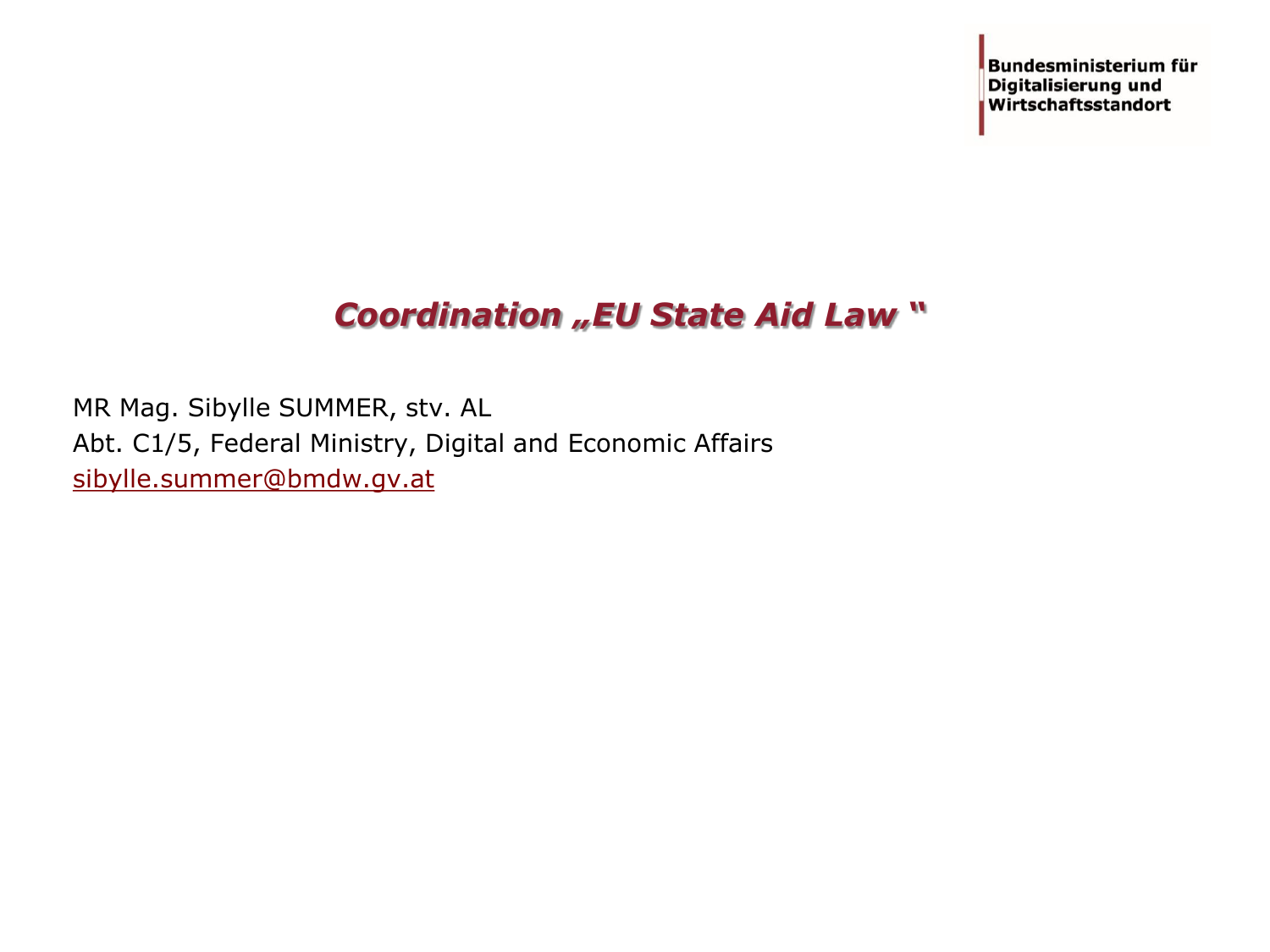Bundesministerium für **Digitalisierung und** Wirtschaftsstandort

# *Coordination "EU State Aid Law "*

MR Mag. Sibylle SUMMER, stv. AL Abt. C1/5, Federal Ministry, Digital and Economic Affairs [sibylle.summer@bmdw.gv.at](mailto:sibylle.summer@bmdw.gv.at)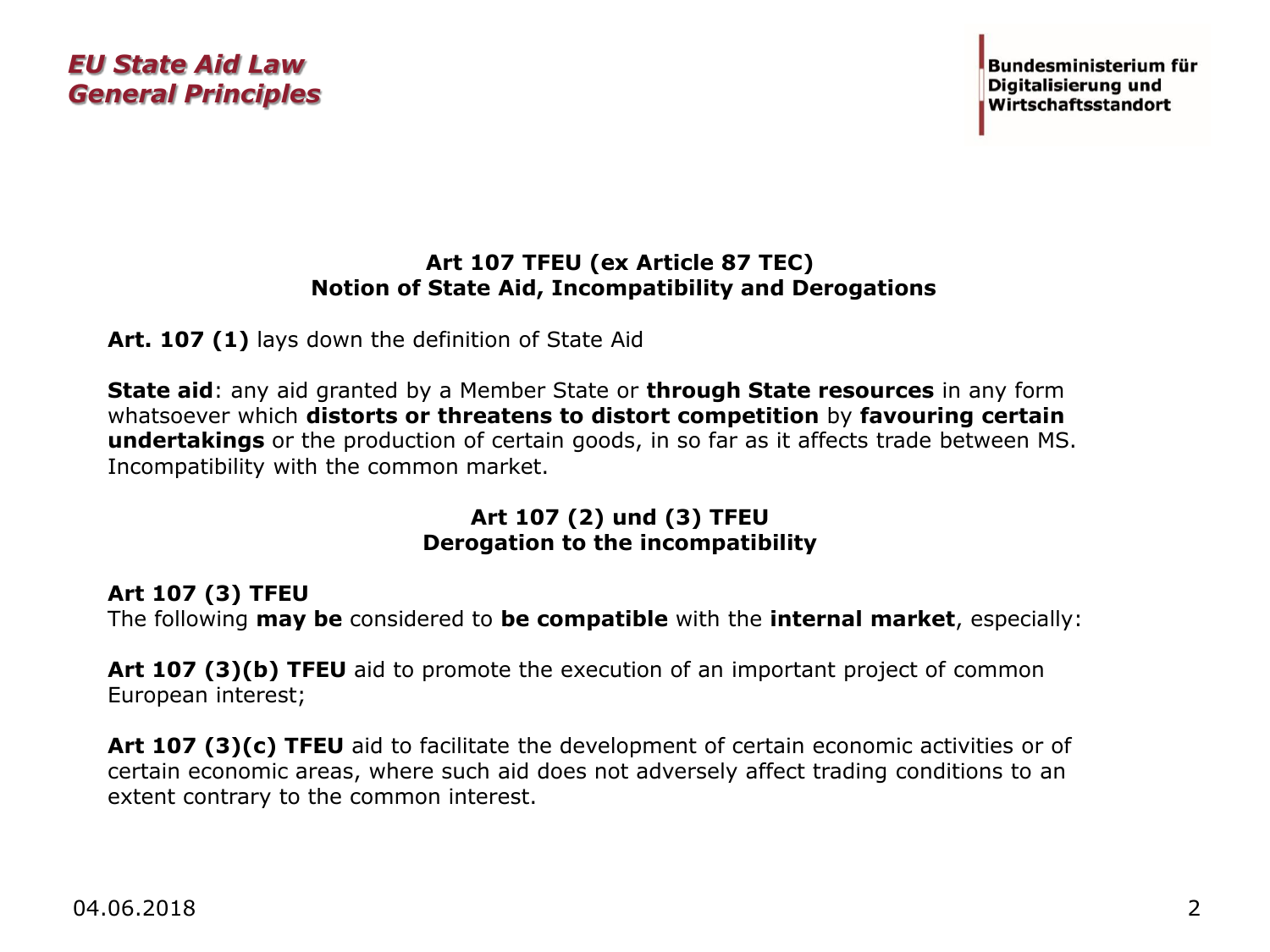#### **Art 107 TFEU (ex Article 87 TEC) Notion of State Aid, Incompatibility and Derogations**

**Art. 107 (1)** lays down the definition of State Aid

**State aid**: any aid granted by a Member State or **through State resources** in any form whatsoever which **distorts or threatens to distort competition** by **favouring certain undertakings** or the production of certain goods, in so far as it affects trade between MS. Incompatibility with the common market.

#### **Art 107 (2) und (3) TFEU Derogation to the incompatibility**

#### **Art 107 (3) TFEU**

The following **may be** considered to **be compatible** with the **internal market**, especially:

**Art 107 (3)(b) TFEU** aid to promote the execution of an important project of common European interest;

**Art 107 (3)(c) TFEU** aid to facilitate the development of certain economic activities or of certain economic areas, where such aid does not adversely affect trading conditions to an extent contrary to the common interest.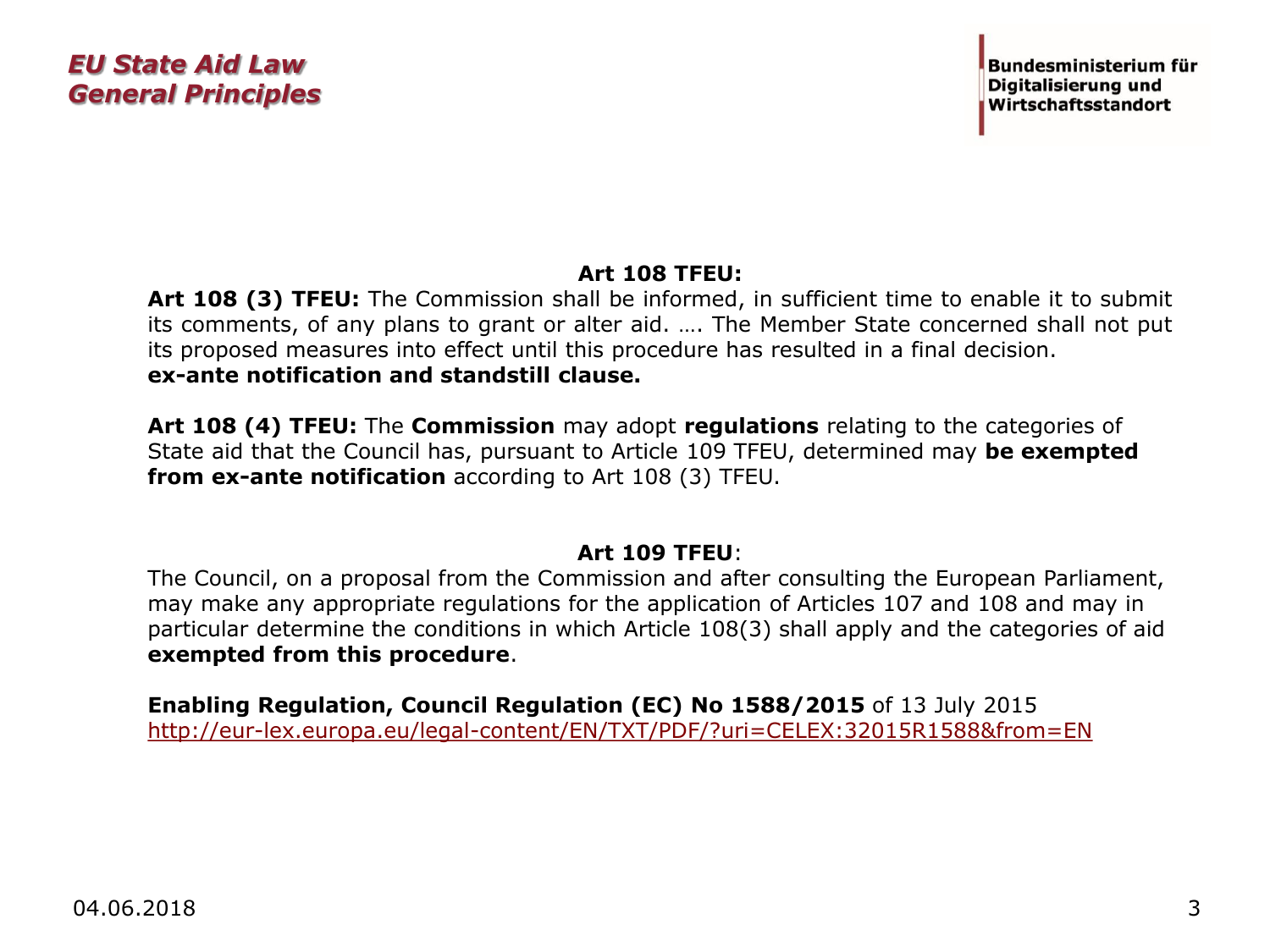### **Art 108 TFEU:**

**Art 108 (3) TFEU:** The Commission shall be informed, in sufficient time to enable it to submit its comments, of any plans to grant or alter aid. …. The Member State concerned shall not put its proposed measures into effect until this procedure has resulted in a final decision. **ex-ante notification and standstill clause.**

**Art 108 (4) TFEU:** The **Commission** may adopt **regulations** relating to the categories of State aid that the Council has, pursuant to Article 109 TFEU, determined may **be exempted from ex-ante notification** according to Art 108 (3) TFEU.

#### **Art 109 TFEU**:

The Council, on a proposal from the Commission and after consulting the European Parliament, may make any appropriate regulations for the application of Articles 107 and 108 and may in particular determine the conditions in which Article 108(3) shall apply and the categories of aid **exempted from this procedure**.

**Enabling Regulation, Council Regulation (EC) No 1588/2015** of 13 July 2015 <http://eur-lex.europa.eu/legal-content/EN/TXT/PDF/?uri=CELEX:32015R1588&from=EN>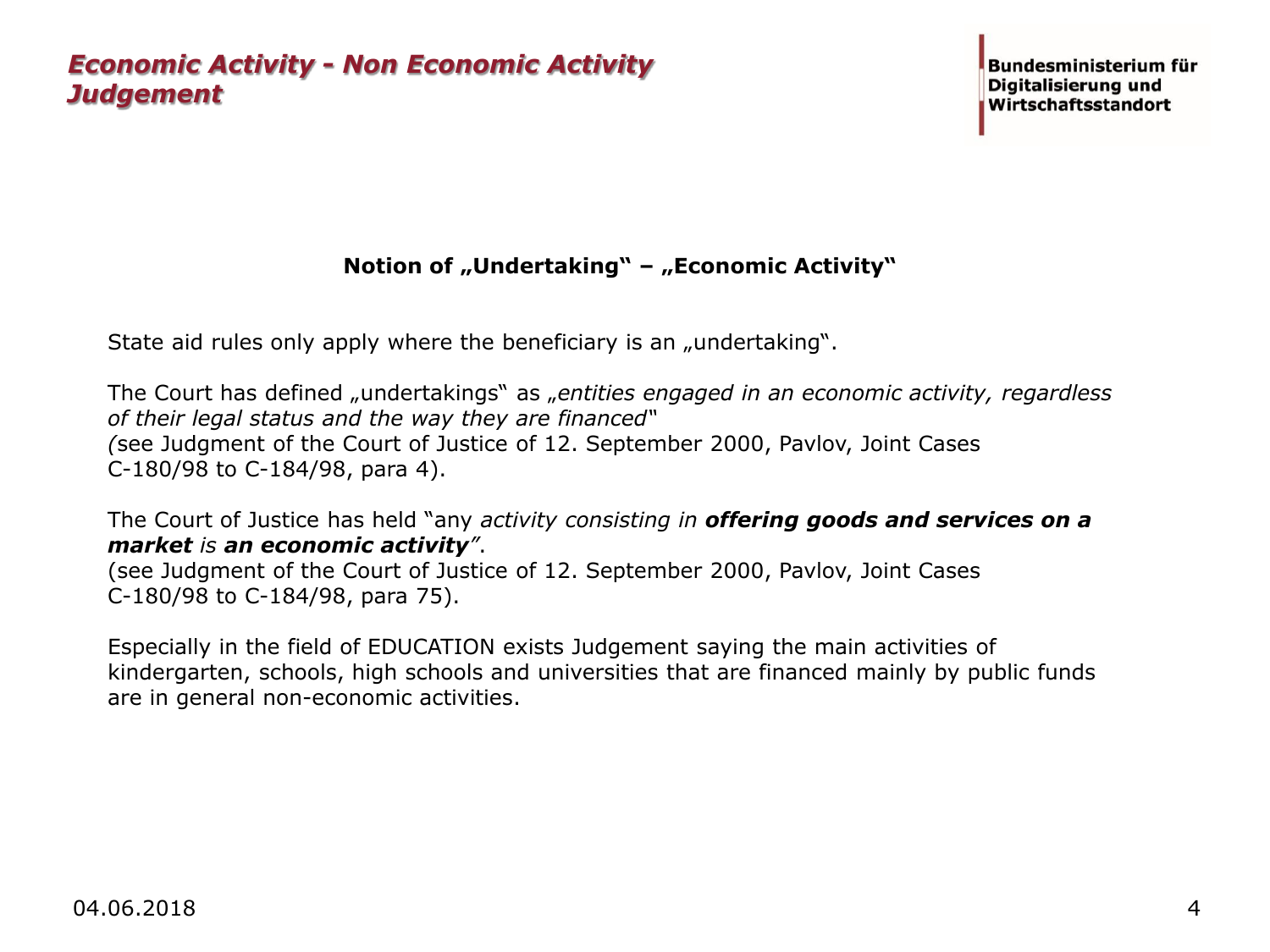### **Notion of "Undertaking" – "Economic Activity"**

State aid rules only apply where the beneficiary is an "undertaking".

The Court has defined "undertakings" as "*entities engaged in an economic activity, regardless of their legal status and the way they are financed" (*see Judgment of the Court of Justice of 12. September 2000, Pavlov, Joint Cases C-180/98 to C-184/98, para 4).

The Court of Justice has held "any *activity consisting in offering goods and services on a market is an economic activity"*.

(see Judgment of the Court of Justice of 12. September 2000, Pavlov, Joint Cases C-180/98 to C-184/98, para 75).

Especially in the field of EDUCATION exists Judgement saying the main activities of kindergarten, schools, high schools and universities that are financed mainly by public funds are in general non-economic activities.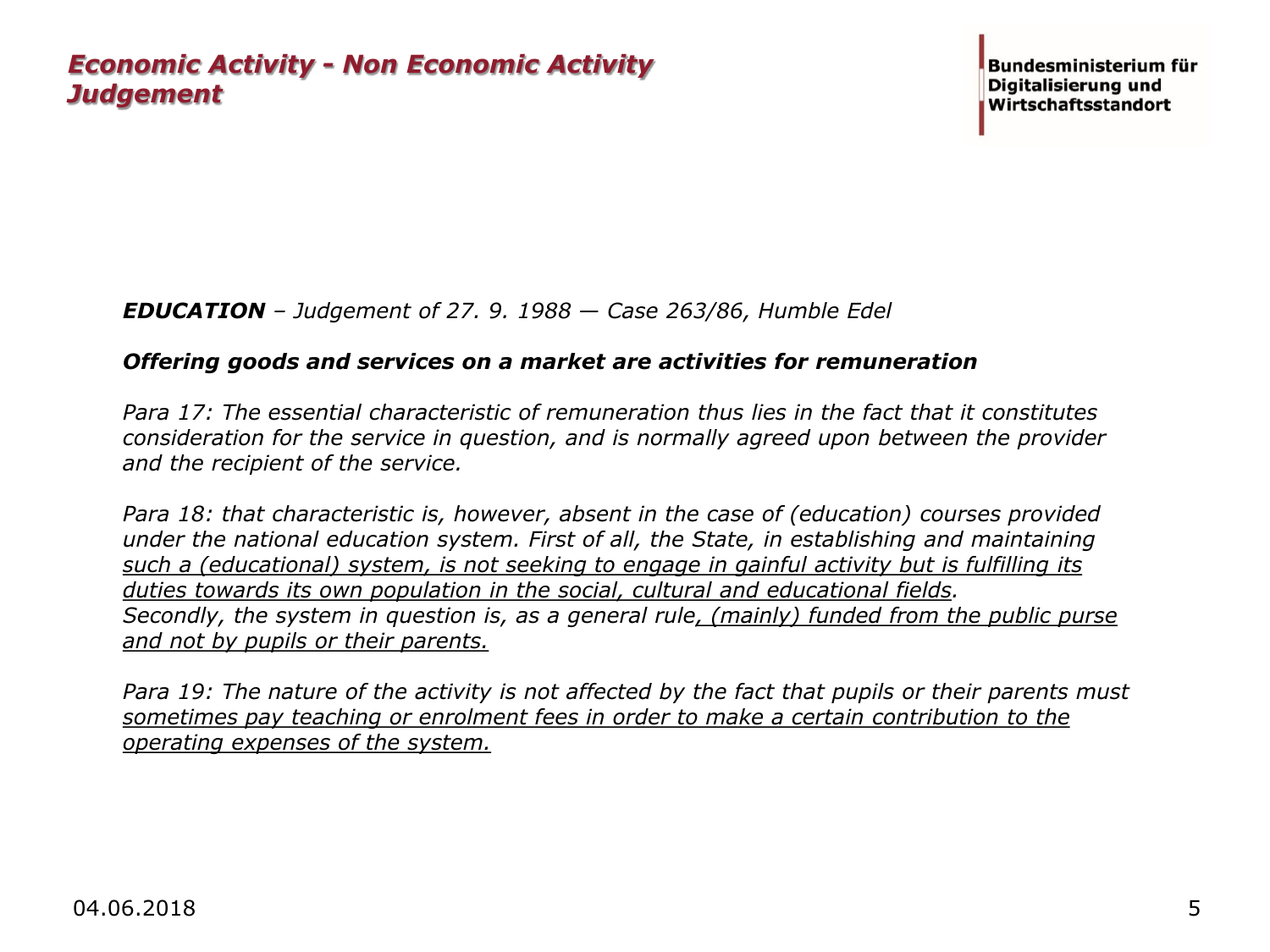#### *EDUCATION – Judgement of 27. 9. 1988 — Case 263/86, Humble Edel*

#### *Offering goods and services on a market are activities for remuneration*

*Para 17: The essential characteristic of remuneration thus lies in the fact that it constitutes consideration for the service in question, and is normally agreed upon between the provider and the recipient of the service.*

*Para 18: that characteristic is, however, absent in the case of (education) courses provided under the national education system. First of all, the State, in establishing and maintaining such a (educational) system, is not seeking to engage in gainful activity but is fulfilling its duties towards its own population in the social, cultural and educational fields. Secondly, the system in question is, as a general rule, (mainly) funded from the public purse and not by pupils or their parents.*

Para 19: The nature of the activity is not affected by the fact that pupils or their parents must *sometimes pay teaching or enrolment fees in order to make a certain contribution to the operating expenses of the system.*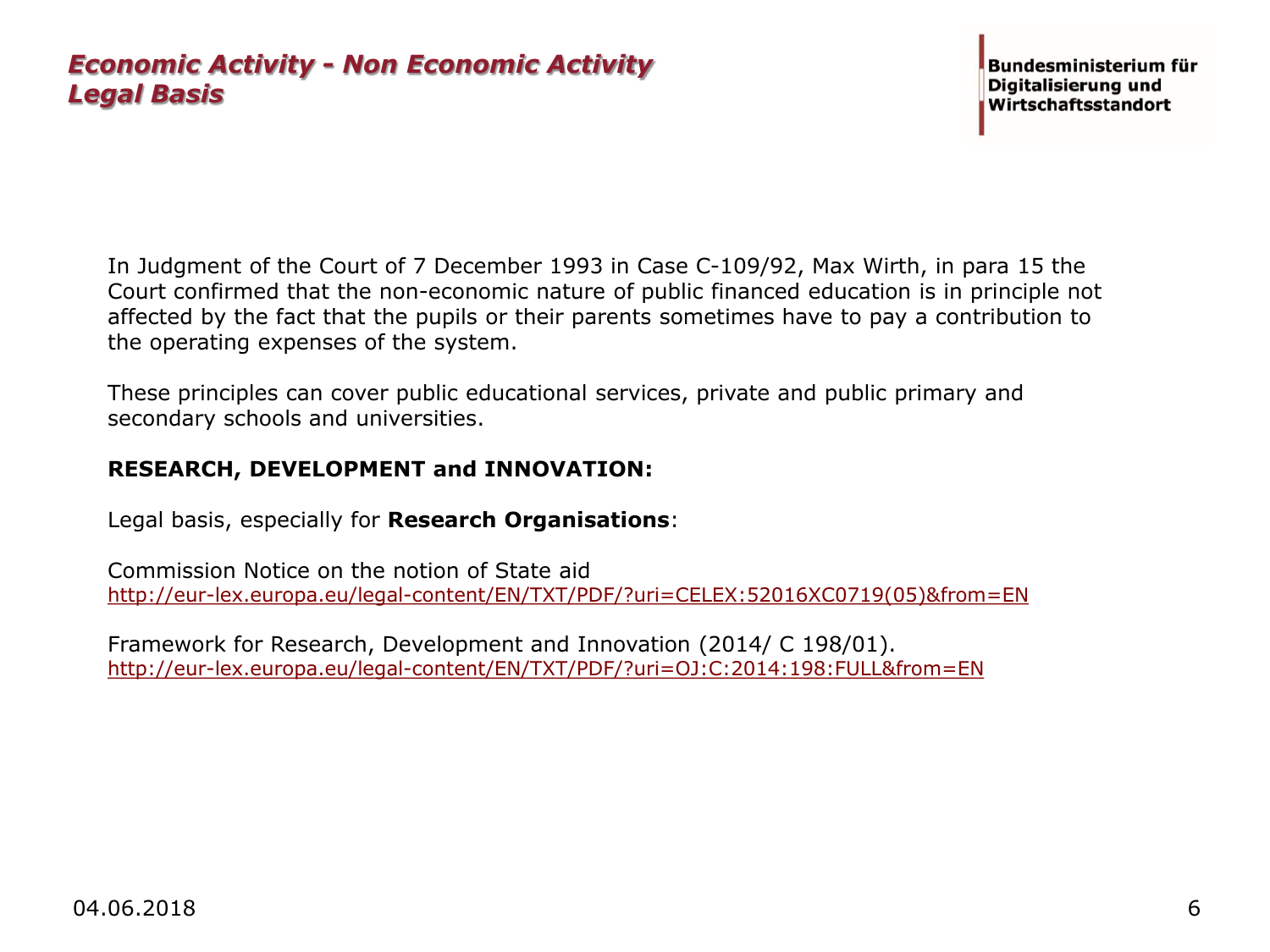In Judgment of the Court of 7 December 1993 in Case C-109/92, Max Wirth, in para 15 the Court confirmed that the non-economic nature of public financed education is in principle not affected by the fact that the pupils or their parents sometimes have to pay a contribution to the operating expenses of the system.

These principles can cover public educational services, private and public primary and secondary schools and universities.

#### **RESEARCH, DEVELOPMENT and INNOVATION:**

Legal basis, especially for **Research Organisations**:

Commission Notice on the notion of State aid [http://eur-lex.europa.eu/legal-content/EN/TXT/PDF/?uri=CELEX:52016XC0719\(05\)&from=EN](http://eur-lex.europa.eu/legal-content/EN/TXT/PDF/?uri=CELEX:52016XC0719(05)&from=EN)

Framework for Research, Development and Innovation (2014/ C 198/01). <http://eur-lex.europa.eu/legal-content/EN/TXT/PDF/?uri=OJ:C:2014:198:FULL&from=EN>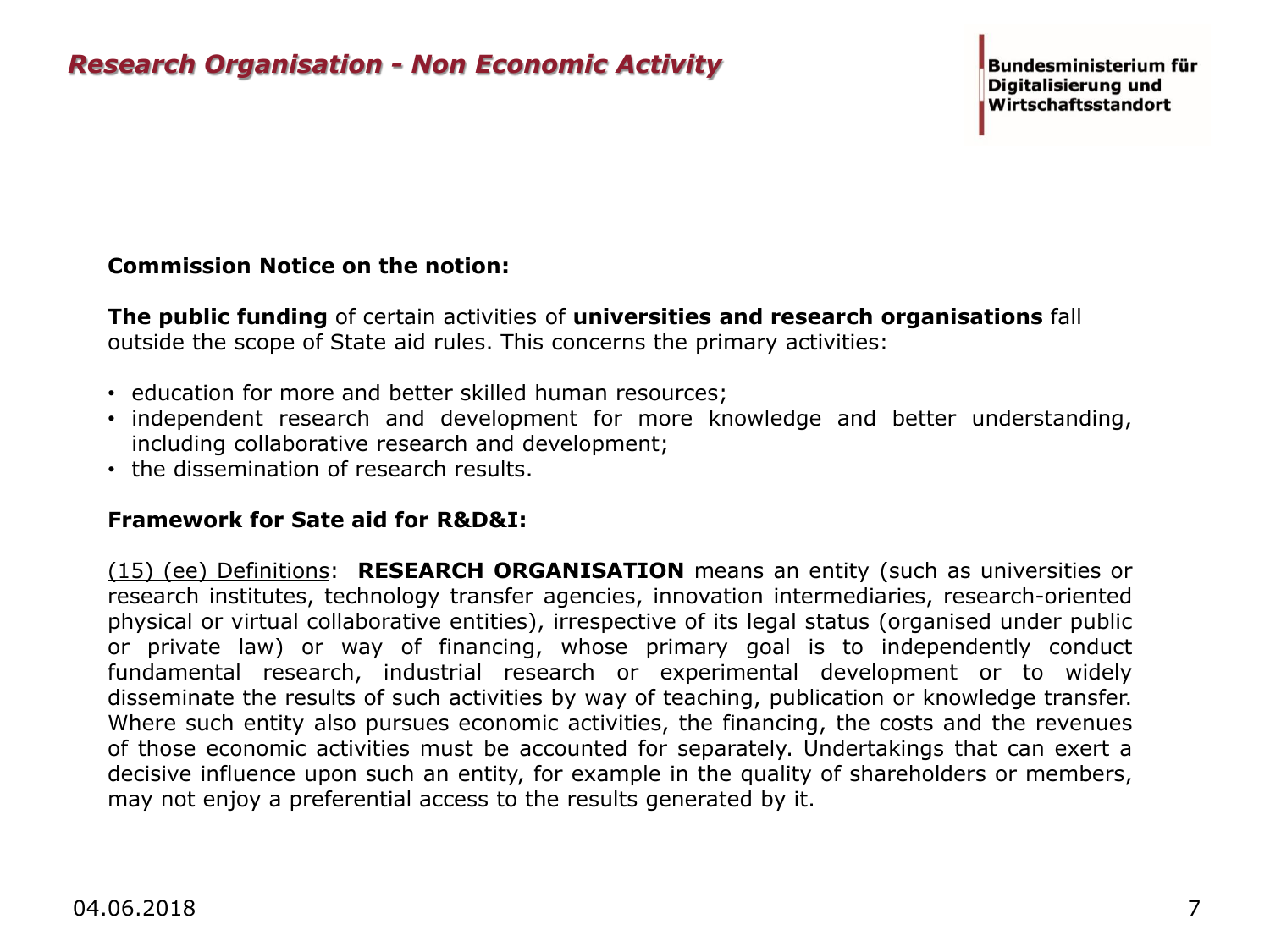#### **Commission Notice on the notion:**

**The public funding** of certain activities of **universities and research organisations** fall outside the scope of State aid rules. This concerns the primary activities:

- education for more and better skilled human resources;
- independent research and development for more knowledge and better understanding, including collaborative research and development;
- the dissemination of research results.

#### **Framework for Sate aid for R&D&I:**

(15) (ee) Definitions: **RESEARCH ORGANISATION** means an entity (such as universities or research institutes, technology transfer agencies, innovation intermediaries, research-oriented physical or virtual collaborative entities), irrespective of its legal status (organised under public or private law) or way of financing, whose primary goal is to independently conduct fundamental research, industrial research or experimental development or to widely disseminate the results of such activities by way of teaching, publication or knowledge transfer. Where such entity also pursues economic activities, the financing, the costs and the revenues of those economic activities must be accounted for separately. Undertakings that can exert a decisive influence upon such an entity, for example in the quality of shareholders or members, may not enjoy a preferential access to the results generated by it.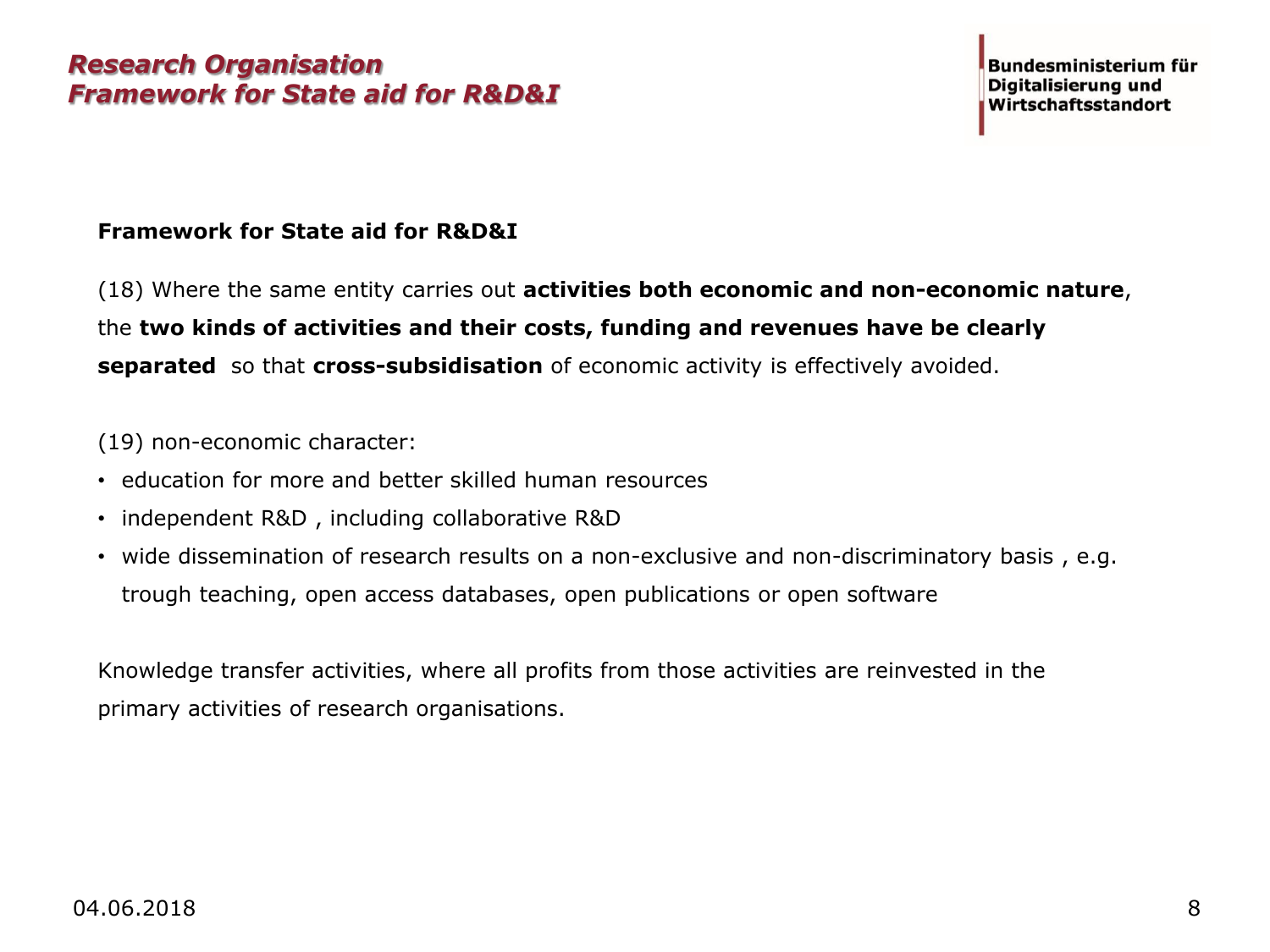#### **Framework for State aid for R&D&I**

(18) Where the same entity carries out **activities both economic and non-economic nature**, the **two kinds of activities and their costs, funding and revenues have be clearly separated** so that **cross-subsidisation** of economic activity is effectively avoided.

(19) non-economic character:

- education for more and better skilled human resources
- independent R&D , including collaborative R&D
- wide dissemination of research results on a non-exclusive and non-discriminatory basis , e.g. trough teaching, open access databases, open publications or open software

Knowledge transfer activities, where all profits from those activities are reinvested in the primary activities of research organisations.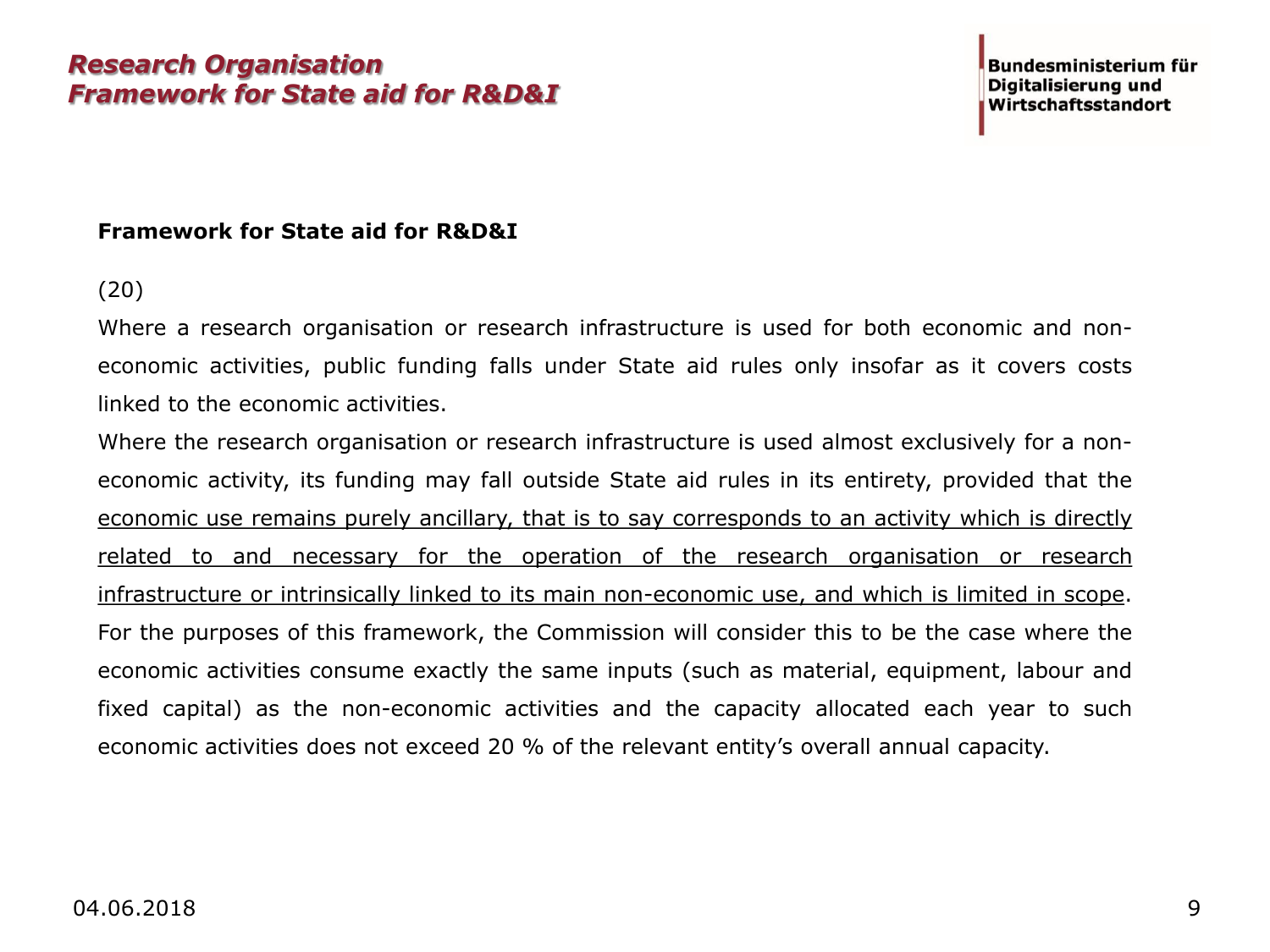### *Research Organisation Framework for State aid for R&D&I*

#### **Framework for State aid for R&D&I**

#### (20)

Where a research organisation or research infrastructure is used for both economic and noneconomic activities, public funding falls under State aid rules only insofar as it covers costs linked to the economic activities.

Where the research organisation or research infrastructure is used almost exclusively for a noneconomic activity, its funding may fall outside State aid rules in its entirety, provided that the economic use remains purely ancillary, that is to say corresponds to an activity which is directly related to and necessary for the operation of the research organisation or research infrastructure or intrinsically linked to its main non-economic use, and which is limited in scope. For the purposes of this framework, the Commission will consider this to be the case where the economic activities consume exactly the same inputs (such as material, equipment, labour and fixed capital) as the non-economic activities and the capacity allocated each year to such economic activities does not exceed 20 % of the relevant entity's overall annual capacity.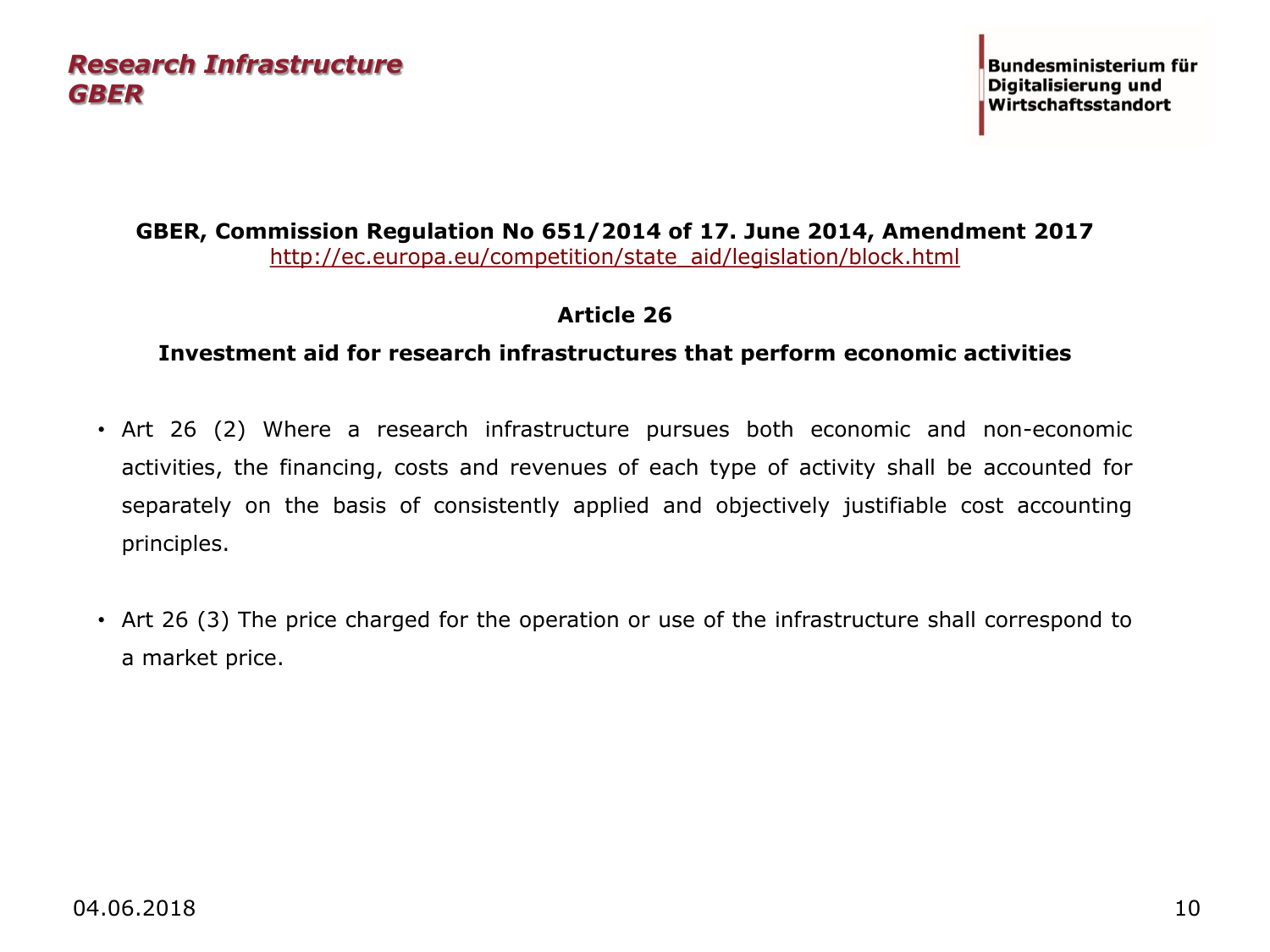### *Research Infrastructure GBER*

#### **GBER, Commission Regulation No 651/2014 of 17. June 2014, Amendment 2017**  [http://ec.europa.eu/competition/state\\_aid/legislation/block.html](http://ec.europa.eu/competition/state_aid/legislation/block.html)

#### **Article 26**

#### **Investment aid for research infrastructures that perform economic activities**

- Art 26 (2) Where a research infrastructure pursues both economic and non-economic activities, the financing, costs and revenues of each type of activity shall be accounted for separately on the basis of consistently applied and objectively justifiable cost accounting principles.
- Art 26 (3) The price charged for the operation or use of the infrastructure shall correspond to a market price.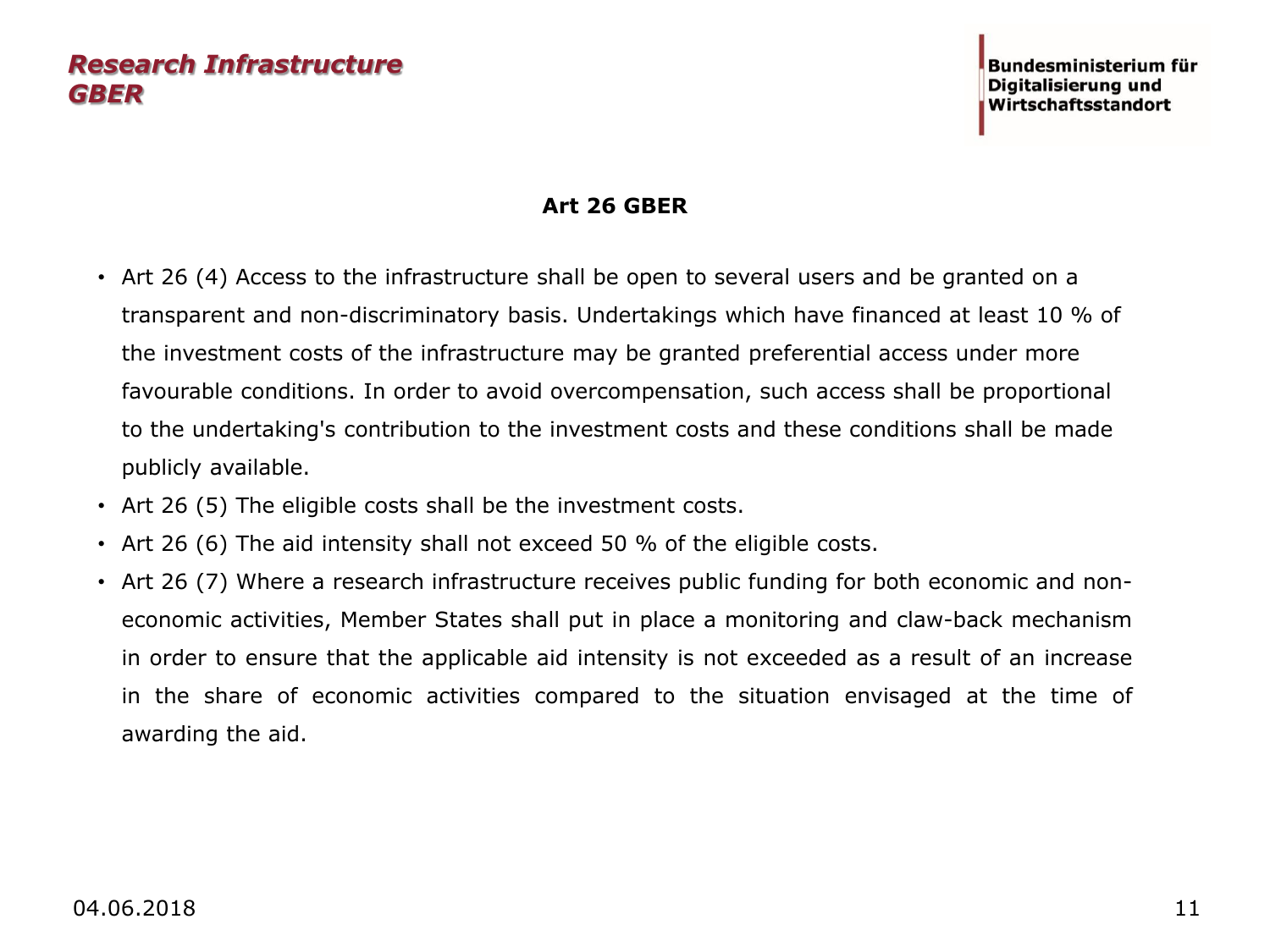### *Research Infrastructure GBER*

#### **Art 26 GBER**

- Art 26 (4) Access to the infrastructure shall be open to several users and be granted on a transparent and non-discriminatory basis. Undertakings which have financed at least 10 % of the investment costs of the infrastructure may be granted preferential access under more favourable conditions. In order to avoid overcompensation, such access shall be proportional to the undertaking's contribution to the investment costs and these conditions shall be made publicly available.
- Art 26 (5) The eligible costs shall be the investment costs.
- Art 26 (6) The aid intensity shall not exceed 50 % of the eligible costs.
- Art 26 (7) Where a research infrastructure receives public funding for both economic and noneconomic activities, Member States shall put in place a monitoring and claw-back mechanism in order to ensure that the applicable aid intensity is not exceeded as a result of an increase in the share of economic activities compared to the situation envisaged at the time of awarding the aid.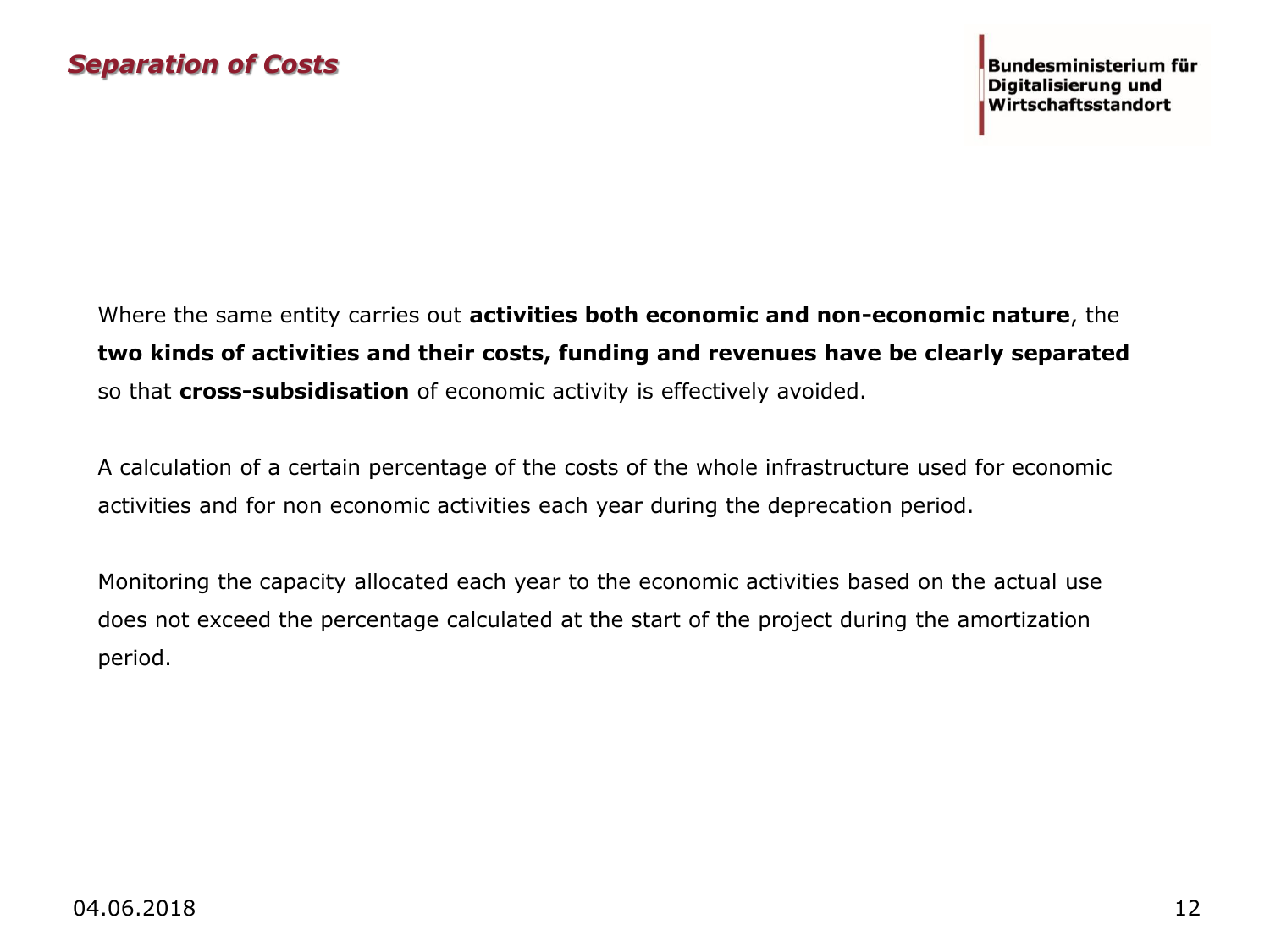Where the same entity carries out **activities both economic and non-economic nature**, the **two kinds of activities and their costs, funding and revenues have be clearly separated**  so that **cross-subsidisation** of economic activity is effectively avoided.

A calculation of a certain percentage of the costs of the whole infrastructure used for economic activities and for non economic activities each year during the deprecation period.

Monitoring the capacity allocated each year to the economic activities based on the actual use does not exceed the percentage calculated at the start of the project during the amortization period.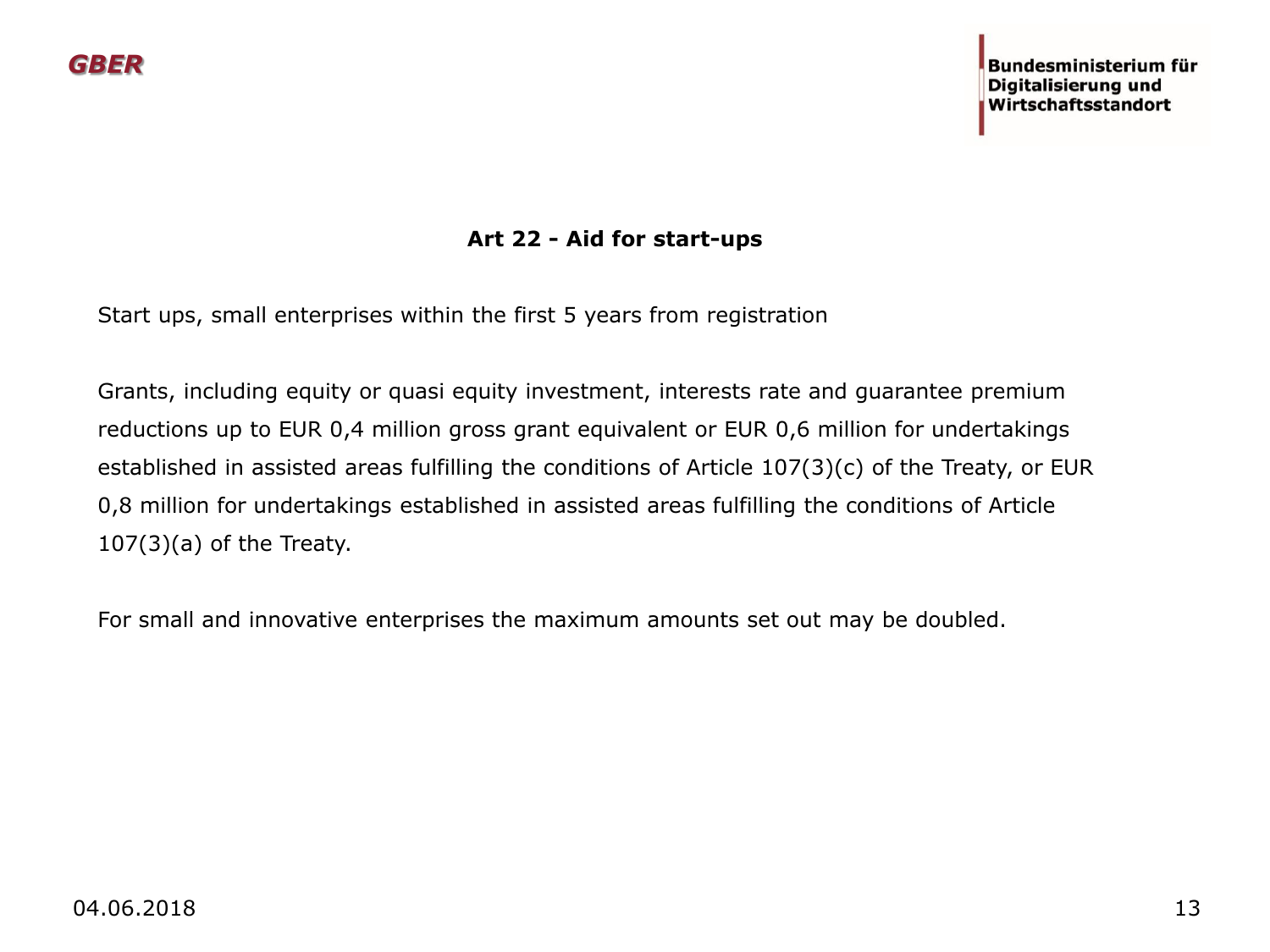#### **Art 22 - Aid for start-ups**

Start ups, small enterprises within the first 5 years from registration

Grants, including equity or quasi equity investment, interests rate and guarantee premium reductions up to EUR 0,4 million gross grant equivalent or EUR 0,6 million for undertakings established in assisted areas fulfilling the conditions of Article 107(3)(c) of the Treaty, or EUR 0,8 million for undertakings established in assisted areas fulfilling the conditions of Article 107(3)(a) of the Treaty.

For small and innovative enterprises the maximum amounts set out may be doubled.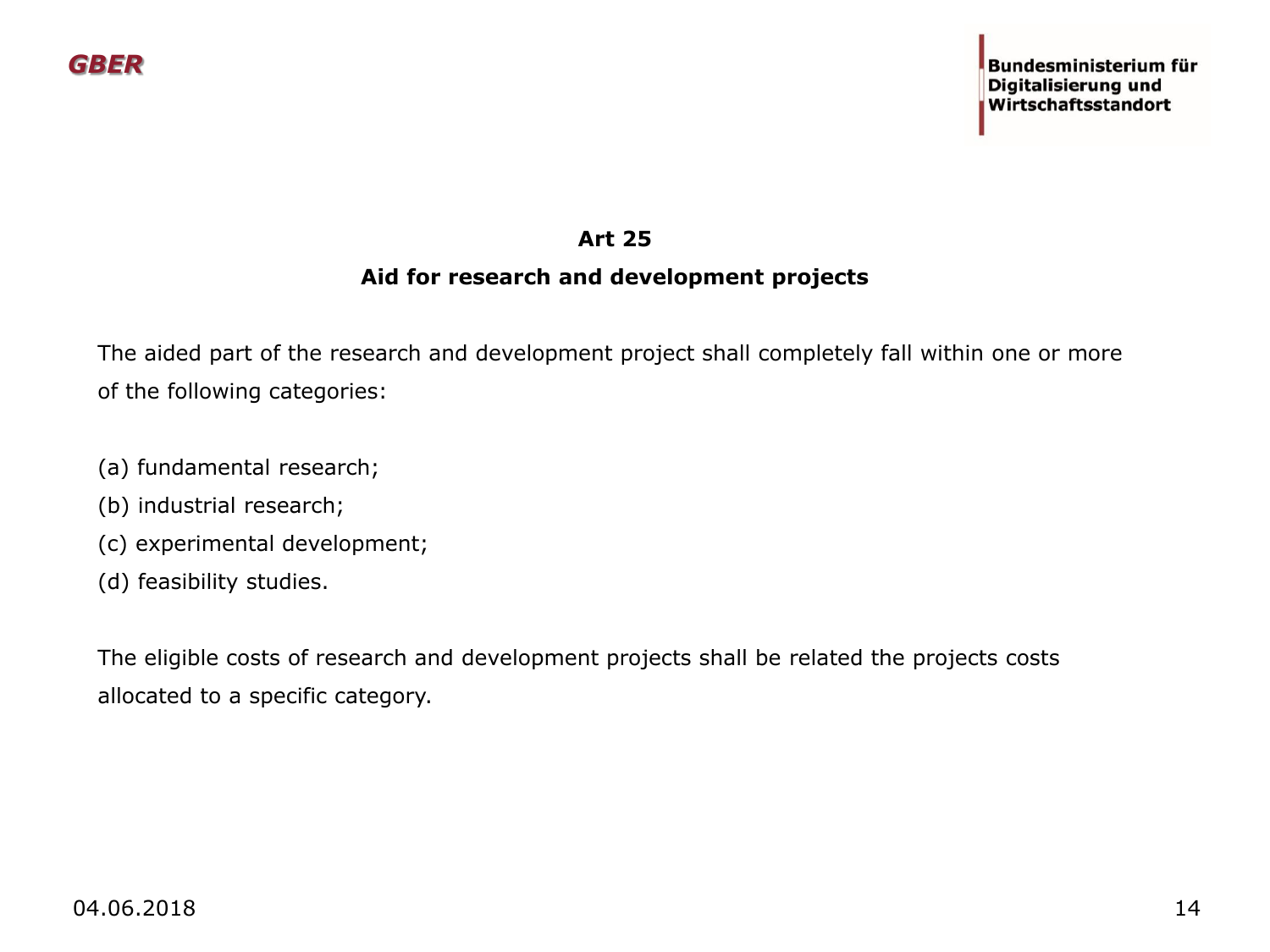#### **Art 25**

#### **Aid for research and development projects**

The aided part of the research and development project shall completely fall within one or more of the following categories:

- (a) fundamental research;
- (b) industrial research;
- (c) experimental development;
- (d) feasibility studies.

The eligible costs of research and development projects shall be related the projects costs allocated to a specific category.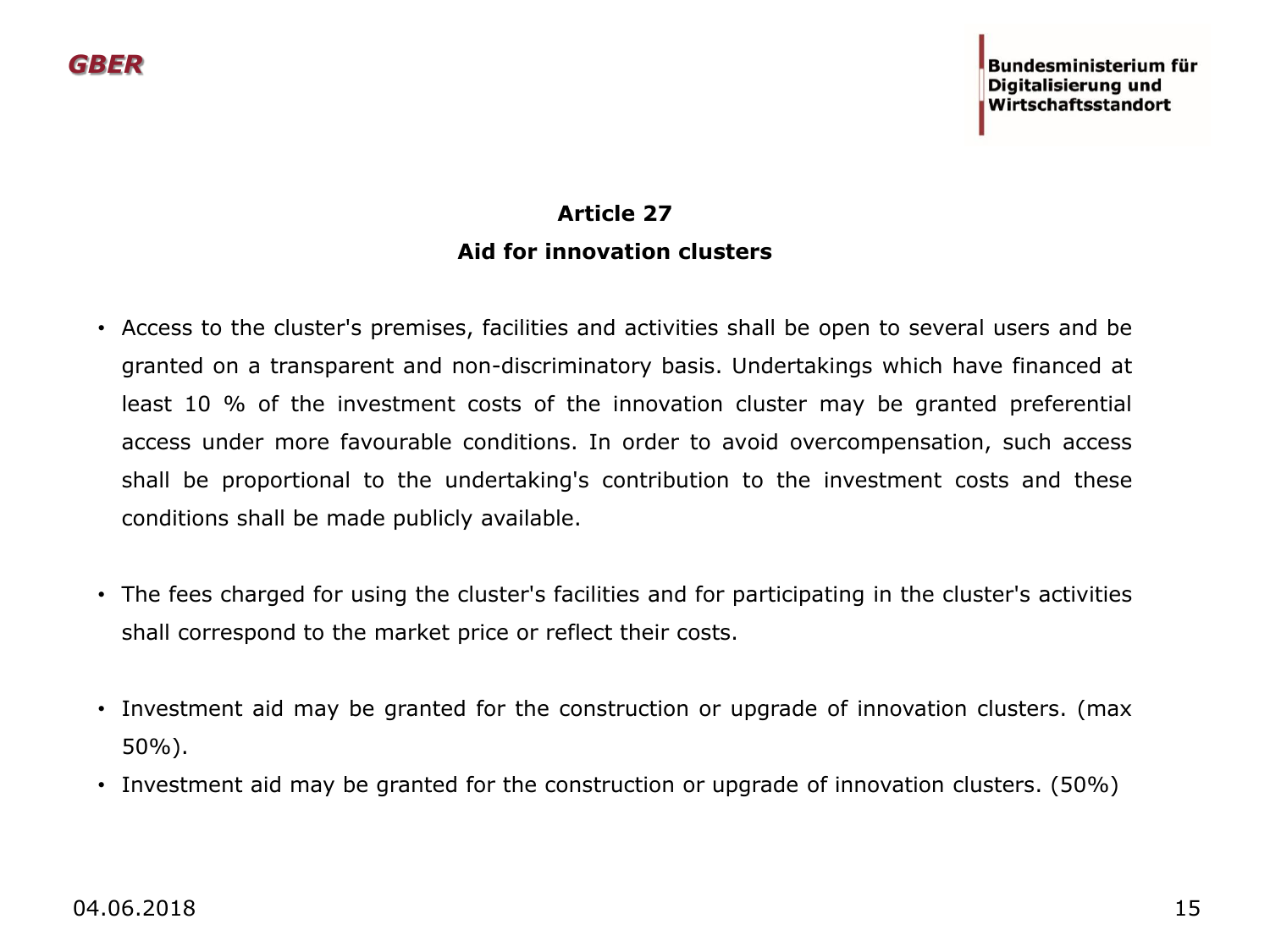## **Article 27 Aid for innovation clusters**

- Access to the cluster's premises, facilities and activities shall be open to several users and be granted on a transparent and non-discriminatory basis. Undertakings which have financed at least 10 % of the investment costs of the innovation cluster may be granted preferential access under more favourable conditions. In order to avoid overcompensation, such access shall be proportional to the undertaking's contribution to the investment costs and these conditions shall be made publicly available.
- The fees charged for using the cluster's facilities and for participating in the cluster's activities shall correspond to the market price or reflect their costs.
- Investment aid may be granted for the construction or upgrade of innovation clusters. (max 50%).
- Investment aid may be granted for the construction or upgrade of innovation clusters. (50%)